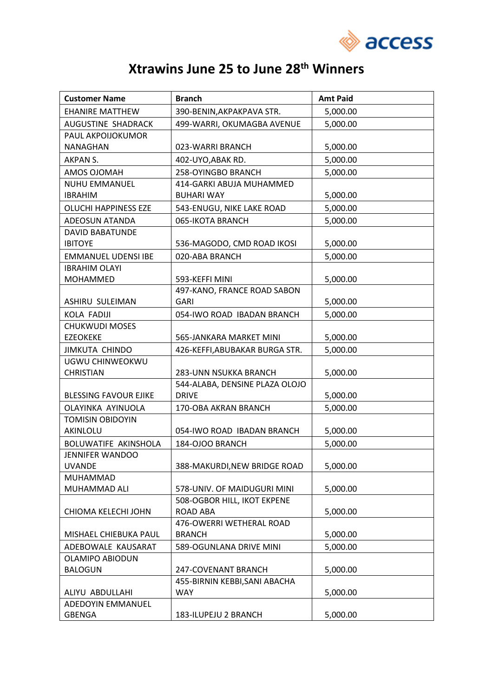

## **Xtrawins June 25 to June 28th Winners**

| <b>Customer Name</b>         | <b>Branch</b>                  | <b>Amt Paid</b> |
|------------------------------|--------------------------------|-----------------|
| <b>EHANIRE MATTHEW</b>       | 390-BENIN, AKPAKPAVA STR.      | 5,000.00        |
| AUGUSTINE SHADRACK           | 499-WARRI, OKUMAGBA AVENUE     | 5,000.00        |
| PAUL AKPOIJOKUMOR            |                                |                 |
| NANAGHAN                     | 023-WARRI BRANCH               | 5,000.00        |
| AKPAN S.                     | 402-UYO, ABAK RD.              | 5,000.00        |
| AMOS OJOMAH                  | 258-OYINGBO BRANCH             | 5,000.00        |
| <b>NUHU EMMANUEL</b>         | 414-GARKI ABUJA MUHAMMED       |                 |
| <b>IBRAHIM</b>               | <b>BUHARI WAY</b>              | 5,000.00        |
| <b>OLUCHI HAPPINESS EZE</b>  | 543-ENUGU, NIKE LAKE ROAD      | 5,000.00        |
| ADEOSUN ATANDA               | 065-IKOTA BRANCH               | 5,000.00        |
| <b>DAVID BABATUNDE</b>       |                                |                 |
| <b>IBITOYE</b>               | 536-MAGODO, CMD ROAD IKOSI     | 5,000.00        |
| <b>EMMANUEL UDENSI IBE</b>   | 020-ABA BRANCH                 | 5,000.00        |
| <b>IBRAHIM OLAYI</b>         |                                |                 |
| <b>MOHAMMED</b>              | 593-KEFFI MINI                 | 5,000.00        |
|                              | 497-KANO, FRANCE ROAD SABON    |                 |
| ASHIRU SULEIMAN              | <b>GARI</b>                    | 5,000.00        |
| <b>KOLA FADIJI</b>           | 054-IWO ROAD IBADAN BRANCH     | 5,000.00        |
| <b>CHUKWUDI MOSES</b>        |                                |                 |
| <b>EZEOKEKE</b>              | 565-JANKARA MARKET MINI        | 5,000.00        |
| <b>JIMKUTA CHINDO</b>        | 426-KEFFI, ABUBAKAR BURGA STR. | 5,000.00        |
| UGWU CHINWEOKWU              |                                |                 |
| <b>CHRISTIAN</b>             | 283-UNN NSUKKA BRANCH          | 5,000.00        |
|                              | 544-ALABA, DENSINE PLAZA OLOJO |                 |
| <b>BLESSING FAVOUR EJIKE</b> | <b>DRIVE</b>                   | 5,000.00        |
| OLAYINKA AYINUOLA            | 170-OBA AKRAN BRANCH           | 5,000.00        |
| <b>TOMISIN OBIDOYIN</b>      |                                |                 |
| AKINLOLU                     | 054-IWO ROAD IBADAN BRANCH     | 5,000.00        |
| BOLUWATIFE AKINSHOLA         | 184-OJOO BRANCH                | 5,000.00        |
| <b>JENNIFER WANDOO</b>       |                                |                 |
| <b>UVANDE</b><br>MUHAMMAD    | 388-MAKURDI, NEW BRIDGE ROAD   | 5,000.00        |
| MUHAMMAD ALI                 | 578-UNIV. OF MAIDUGURI MINI    | 5,000.00        |
|                              | 508-OGBOR HILL, IKOT EKPENE    |                 |
| CHIOMA KELECHI JOHN          | <b>ROAD ABA</b>                | 5,000.00        |
|                              | 476-OWERRI WETHERAL ROAD       |                 |
| MISHAEL CHIEBUKA PAUL        | <b>BRANCH</b>                  | 5,000.00        |
| ADEBOWALE KAUSARAT           | 589-OGUNLANA DRIVE MINI        | 5,000.00        |
| <b>OLAMIPO ABIODUN</b>       |                                |                 |
| <b>BALOGUN</b>               | 247-COVENANT BRANCH            | 5,000.00        |
|                              | 455-BIRNIN KEBBI, SANI ABACHA  |                 |
| ALIYU ABDULLAHI              | <b>WAY</b>                     | 5,000.00        |
| ADEDOYIN EMMANUEL            |                                |                 |
| <b>GBENGA</b>                | 183-ILUPEJU 2 BRANCH           | 5,000.00        |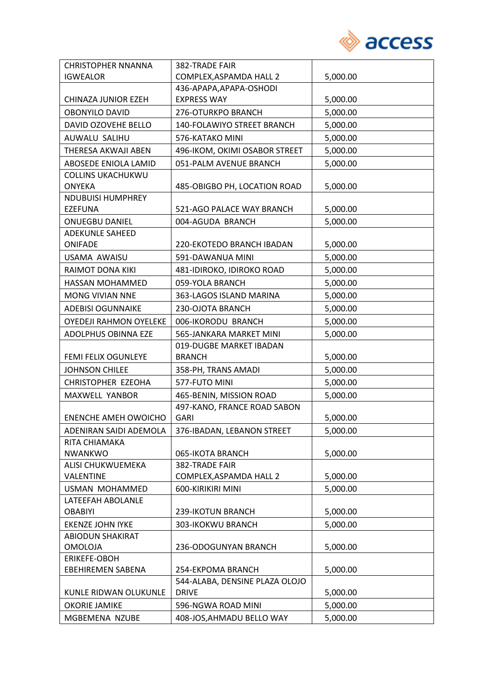

| <b>CHRISTOPHER NNANNA</b>     | 382-TRADE FAIR                 |          |
|-------------------------------|--------------------------------|----------|
| <b>IGWEALOR</b>               | COMPLEX, ASPAMDA HALL 2        | 5,000.00 |
|                               | 436-APAPA, APAPA-OSHODI        |          |
| CHINAZA JUNIOR EZEH           | <b>EXPRESS WAY</b>             | 5,000.00 |
| <b>OBONYILO DAVID</b>         | 276-OTURKPO BRANCH             | 5,000.00 |
| DAVID OZOVEHE BELLO           | 140-FOLAWIYO STREET BRANCH     | 5,000.00 |
| AUWALU SALIHU                 | 576-KATAKO MINI                | 5,000.00 |
| THERESA AKWAJI ABEN           | 496-IKOM, OKIMI OSABOR STREET  | 5,000.00 |
| ABOSEDE ENIOLA LAMID          | 051-PALM AVENUE BRANCH         | 5,000.00 |
| <b>COLLINS UKACHUKWU</b>      |                                |          |
| <b>ONYEKA</b>                 | 485-OBIGBO PH, LOCATION ROAD   | 5,000.00 |
| <b>NDUBUISI HUMPHREY</b>      |                                |          |
| <b>EZEFUNA</b>                | 521-AGO PALACE WAY BRANCH      | 5,000.00 |
| <b>ONUEGBU DANIEL</b>         | 004-AGUDA BRANCH               | 5,000.00 |
| <b>ADEKUNLE SAHEED</b>        |                                |          |
| <b>ONIFADE</b>                | 220-EKOTEDO BRANCH IBADAN      | 5,000.00 |
| USAMA AWAISU                  | 591-DAWANUA MINI               | 5,000.00 |
| RAIMOT DONA KIKI              | 481-IDIROKO, IDIROKO ROAD      | 5,000.00 |
| HASSAN MOHAMMED               | 059-YOLA BRANCH                | 5,000.00 |
| MONG VIVIAN NNE               | 363-LAGOS ISLAND MARINA        | 5,000.00 |
| <b>ADEBISI OGUNNAIKE</b>      | 230-OJOTA BRANCH               | 5,000.00 |
| <b>OYEDEJI RAHMON OYELEKE</b> | 006-IKORODU BRANCH             | 5,000.00 |
| ADOLPHUS OBINNA EZE           | 565-JANKARA MARKET MINI        | 5,000.00 |
|                               | 019-DUGBE MARKET IBADAN        |          |
| FEMI FELIX OGUNLEYE           | <b>BRANCH</b>                  | 5,000.00 |
| <b>JOHNSON CHILEE</b>         | 358-PH, TRANS AMADI            | 5,000.00 |
| <b>CHRISTOPHER EZEOHA</b>     | 577-FUTO MINI                  | 5,000.00 |
| MAXWELL YANBOR                | 465-BENIN, MISSION ROAD        | 5,000.00 |
|                               | 497-KANO, FRANCE ROAD SABON    |          |
| <b>ENENCHE AMEH OWOICHO</b>   | <b>GARI</b>                    | 5,000.00 |
| ADENIRAN SAIDI ADEMOLA        | 376-IBADAN, LEBANON STREET     | 5,000.00 |
| RITA CHIAMAKA                 |                                |          |
| <b>NWANKWO</b>                | 065-IKOTA BRANCH               | 5,000.00 |
| ALISI CHUKWUEMEKA             | 382-TRADE FAIR                 |          |
| VALENTINE                     | COMPLEX, ASPAMDA HALL 2        | 5,000.00 |
| USMAN MOHAMMED                | 600-KIRIKIRI MINI              | 5,000.00 |
| LATEEFAH ABOLANLE             |                                |          |
| <b>OBABIYI</b>                | 239-IKOTUN BRANCH              | 5,000.00 |
| <b>EKENZE JOHN IYKE</b>       | 303-IKOKWU BRANCH              | 5,000.00 |
| <b>ABIODUN SHAKIRAT</b>       |                                |          |
| <b>OMOLOJA</b>                | 236-ODOGUNYAN BRANCH           | 5,000.00 |
| ERIKEFE-OBOH                  |                                |          |
| <b>EBEHIREMEN SABENA</b>      | 254-EKPOMA BRANCH              | 5,000.00 |
|                               | 544-ALABA, DENSINE PLAZA OLOJO |          |
| KUNLE RIDWAN OLUKUNLE         | <b>DRIVE</b>                   | 5,000.00 |
| <b>OKORIE JAMIKE</b>          | 596-NGWA ROAD MINI             | 5,000.00 |
| MGBEMENA NZUBE                | 408-JOS, AHMADU BELLO WAY      | 5,000.00 |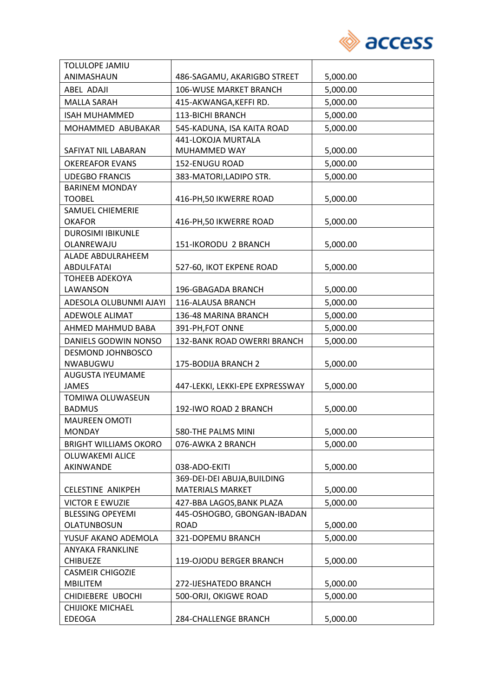

| TOLULOPE JAMIU               |                                 |          |
|------------------------------|---------------------------------|----------|
| ANIMASHAUN                   | 486-SAGAMU, AKARIGBO STREET     | 5,000.00 |
| ABEL ADAJI                   | 106-WUSE MARKET BRANCH          | 5,000.00 |
| <b>MALLA SARAH</b>           | 415-AKWANGA, KEFFIRD.           | 5,000.00 |
| <b>ISAH MUHAMMED</b>         | <b>113-BICHI BRANCH</b>         | 5,000.00 |
| MOHAMMED ABUBAKAR            | 545-KADUNA, ISA KAITA ROAD      | 5,000.00 |
|                              | 441-LOKOJA MURTALA              |          |
| SAFIYAT NIL LABARAN          | MUHAMMED WAY                    | 5,000.00 |
| <b>OKEREAFOR EVANS</b>       | 152-ENUGU ROAD                  | 5,000.00 |
| <b>UDEGBO FRANCIS</b>        | 383-MATORI, LADIPO STR.         | 5,000.00 |
| <b>BARINEM MONDAY</b>        |                                 |          |
| <b>TOOBEL</b>                | 416-PH, 50 IKWERRE ROAD         | 5,000.00 |
| <b>SAMUEL CHIEMERIE</b>      |                                 |          |
| <b>OKAFOR</b>                | 416-PH, 50 IKWERRE ROAD         | 5,000.00 |
| <b>DUROSIMI IBIKUNLE</b>     |                                 |          |
| OLANREWAJU                   | 151-IKORODU 2 BRANCH            | 5,000.00 |
| ALADE ABDULRAHEEM            |                                 |          |
| <b>ABDULFATAI</b>            | 527-60, IKOT EKPENE ROAD        | 5,000.00 |
| <b>TOHEEB ADEKOYA</b>        |                                 |          |
| LAWANSON                     | 196-GBAGADA BRANCH              | 5,000.00 |
| ADESOLA OLUBUNMI AJAYI       | 116-ALAUSA BRANCH               | 5,000.00 |
| ADEWOLE ALIMAT               | 136-48 MARINA BRANCH            | 5,000.00 |
| AHMED MAHMUD BABA            | 391-PH, FOT ONNE                | 5,000.00 |
| DANIELS GODWIN NONSO         | 132-BANK ROAD OWERRI BRANCH     | 5,000.00 |
| DESMOND JOHNBOSCO            |                                 |          |
| NWABUGWU                     | 175-BODIJA BRANCH 2             | 5,000.00 |
| AUGUSTA IYEUMAME             |                                 |          |
| <b>JAMES</b>                 | 447-LEKKI, LEKKI-EPE EXPRESSWAY | 5,000.00 |
| TOMIWA OLUWASEUN             |                                 |          |
| <b>BADMUS</b>                | 192-IWO ROAD 2 BRANCH           | 5,000.00 |
| <b>MAUREEN OMOTI</b>         |                                 |          |
| MONDAY                       | 580-THE PALMS MINI              | 5,000.00 |
| <b>BRIGHT WILLIAMS OKORO</b> | 076-AWKA 2 BRANCH               | 5,000.00 |
| <b>OLUWAKEMI ALICE</b>       |                                 |          |
| AKINWANDE                    | 038-ADO-EKITI                   | 5,000.00 |
|                              | 369-DEI-DEI ABUJA, BUILDING     |          |
| <b>CELESTINE ANIKPEH</b>     | <b>MATERIALS MARKET</b>         | 5,000.00 |
| <b>VICTOR E EWUZIE</b>       | 427-BBA LAGOS, BANK PLAZA       | 5,000.00 |
| <b>BLESSING OPEYEMI</b>      | 445-OSHOGBO, GBONGAN-IBADAN     |          |
| OLATUNBOSUN                  | <b>ROAD</b>                     | 5,000.00 |
| YUSUF AKANO ADEMOLA          | 321-DOPEMU BRANCH               | 5,000.00 |
| ANYAKA FRANKLINE             |                                 |          |
| <b>CHIBUEZE</b>              | 119-OJODU BERGER BRANCH         | 5,000.00 |
| <b>CASMEIR CHIGOZIE</b>      |                                 |          |
| <b>MBILITEM</b>              | 272-IJESHATEDO BRANCH           | 5,000.00 |
| CHIDIEBERE UBOCHI            | 500-ORJI, OKIGWE ROAD           | 5,000.00 |
| <b>CHIJIOKE MICHAEL</b>      |                                 |          |
| <b>EDEOGA</b>                | 284-CHALLENGE BRANCH            | 5,000.00 |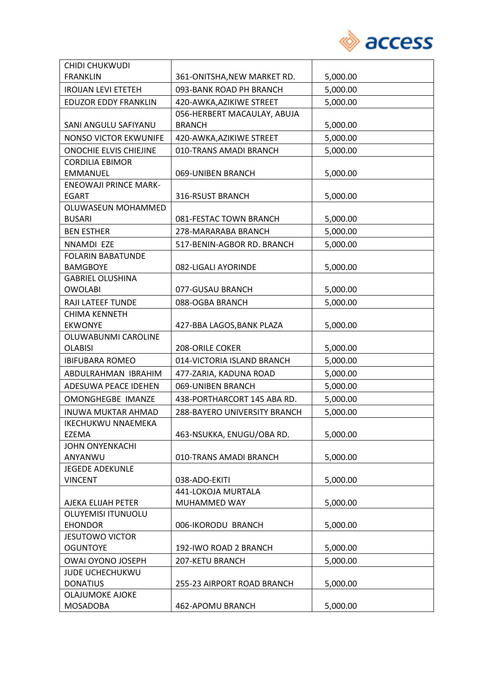

| <b>CHIDI CHUKWUDI</b>        |                              |          |
|------------------------------|------------------------------|----------|
| <b>FRANKLIN</b>              | 361-ONITSHA, NEW MARKET RD.  | 5,000.00 |
| <b>IROIJAN LEVI ETETEH</b>   | 093-BANK ROAD PH BRANCH      | 5,000.00 |
| <b>EDUZOR EDDY FRANKLIN</b>  | 420-AWKA, AZIKIWE STREET     | 5,000.00 |
|                              | 056-HERBERT MACAULAY, ABUJA  |          |
| SANI ANGULU SAFIYANU         | <b>BRANCH</b>                | 5,000.00 |
| <b>NONSO VICTOR EKWUNIFE</b> | 420-AWKA, AZIKIWE STREET     | 5,000.00 |
| ONOCHIE ELVIS CHIEJINE       | 010-TRANS AMADI BRANCH       | 5,000.00 |
| <b>CORDILIA EBIMOR</b>       |                              |          |
| <b>EMMANUEL</b>              | 069-UNIBEN BRANCH            | 5,000.00 |
| <b>ENEOWAJI PRINCE MARK-</b> |                              |          |
| <b>EGART</b>                 | 316-RSUST BRANCH             | 5,000.00 |
| OLUWASEUN MOHAMMED           |                              |          |
| <b>BUSARI</b>                | 081-FESTAC TOWN BRANCH       | 5,000.00 |
| <b>BEN ESTHER</b>            | 278-MARARABA BRANCH          | 5,000.00 |
| NNAMDI EZE                   | 517-BENIN-AGBOR RD. BRANCH   | 5,000.00 |
| <b>FOLARIN BABATUNDE</b>     |                              |          |
| <b>BAMGBOYE</b>              | 082-LIGALI AYORINDE          | 5,000.00 |
| <b>GABRIEL OLUSHINA</b>      |                              |          |
| <b>OWOLABI</b>               | 077-GUSAU BRANCH             | 5,000.00 |
| RAJI LATEEF TUNDE            | 088-OGBA BRANCH              | 5,000.00 |
| <b>CHIMA KENNETH</b>         |                              |          |
| <b>EKWONYE</b>               | 427-BBA LAGOS, BANK PLAZA    | 5,000.00 |
| OLUWABUNMI CAROLINE          |                              |          |
| <b>OLABISI</b>               | 208-ORILE COKER              | 5,000.00 |
| <b>IBIFUBARA ROMEO</b>       | 014-VICTORIA ISLAND BRANCH   | 5,000.00 |
| ABDULRAHMAN IBRAHIM          | 477-ZARIA, KADUNA ROAD       | 5,000.00 |
| ADESUWA PEACE IDEHEN         | 069-UNIBEN BRANCH            | 5,000.00 |
| <b>OMONGHEGBE IMANZE</b>     | 438-PORTHARCORT 145 ABA RD.  | 5,000.00 |
| <b>INUWA MUKTAR AHMAD</b>    | 288-BAYERO UNIVERSITY BRANCH | 5,000.00 |
| <b>IKECHUKWU NNAEMEKA</b>    |                              |          |
| EZEMA                        | 463-NSUKKA, ENUGU/OBA RD.    | 5,000.00 |
| <b>JOHN ONYENKACHI</b>       |                              |          |
| ANYANWU                      | 010-TRANS AMADI BRANCH       | 5,000.00 |
| <b>JEGEDE ADEKUNLE</b>       |                              |          |
| <b>VINCENT</b>               | 038-ADO-EKITI                | 5,000.00 |
|                              | 441-LOKOJA MURTALA           |          |
| AJEKA ELIJAH PETER           | MUHAMMED WAY                 | 5,000.00 |
| <b>OLUYEMISI ITUNUOLU</b>    |                              |          |
| <b>EHONDOR</b>               | 006-IKORODU BRANCH           | 5,000.00 |
| <b>JESUTOWO VICTOR</b>       |                              |          |
| <b>OGUNTOYE</b>              | 192-IWO ROAD 2 BRANCH        | 5,000.00 |
| <b>OWAI OYONO JOSEPH</b>     | 207-KETU BRANCH              | 5,000.00 |
| <b>JUDE UCHECHUKWU</b>       |                              |          |
| <b>DONATIUS</b>              | 255-23 AIRPORT ROAD BRANCH   | 5,000.00 |
| <b>OLAJUMOKE AJOKE</b>       |                              |          |
| <b>MOSADOBA</b>              | 462-APOMU BRANCH             | 5,000.00 |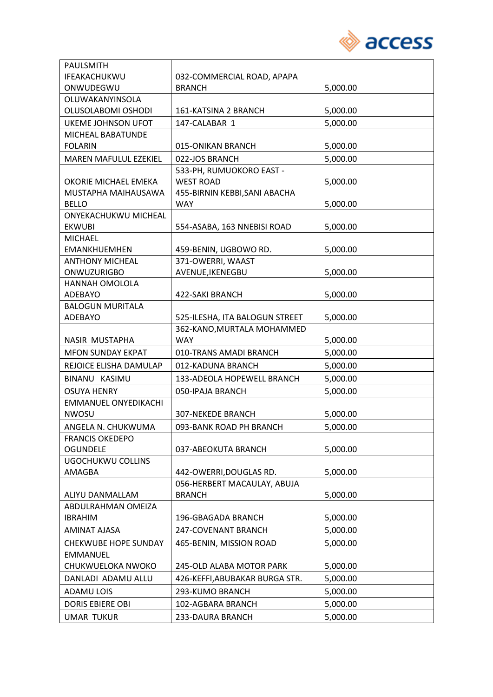

| <b>PAULSMITH</b>                              |                                            |          |
|-----------------------------------------------|--------------------------------------------|----------|
| <b>IFEAKACHUKWU</b>                           | 032-COMMERCIAL ROAD, APAPA                 |          |
| ONWUDEGWU                                     | <b>BRANCH</b>                              | 5,000.00 |
| OLUWAKANYINSOLA                               |                                            |          |
| OLUSOLABOMI OSHODI                            | 161-KATSINA 2 BRANCH                       | 5,000.00 |
| UKEME JOHNSON UFOT                            | 147-CALABAR 1                              | 5,000.00 |
| MICHEAL BABATUNDE                             |                                            |          |
| <b>FOLARIN</b>                                | 015-ONIKAN BRANCH                          | 5,000.00 |
| <b>MAREN MAFULUL EZEKIEL</b>                  | 022-JOS BRANCH                             | 5,000.00 |
|                                               | 533-PH, RUMUOKORO EAST -                   |          |
| OKORIE MICHAEL EMEKA                          | <b>WEST ROAD</b>                           | 5,000.00 |
| MUSTAPHA MAIHAUSAWA                           | 455-BIRNIN KEBBI, SANI ABACHA              |          |
| <b>BELLO</b>                                  | <b>WAY</b>                                 | 5,000.00 |
| ONYEKACHUKWU MICHEAL                          |                                            |          |
| <b>EKWUBI</b>                                 | 554-ASABA, 163 NNEBISI ROAD                | 5,000.00 |
| <b>MICHAEL</b>                                |                                            |          |
| <b>EMANKHUEMHEN</b><br><b>ANTHONY MICHEAL</b> | 459-BENIN, UGBOWO RD.<br>371-OWERRI, WAAST | 5,000.00 |
| <b>ONWUZURIGBO</b>                            | AVENUE, IKENEGBU                           | 5,000.00 |
| HANNAH OMOLOLA                                |                                            |          |
| <b>ADEBAYO</b>                                | 422-SAKI BRANCH                            | 5,000.00 |
| <b>BALOGUN MURITALA</b>                       |                                            |          |
| ADEBAYO                                       | 525-ILESHA, ITA BALOGUN STREET             | 5,000.00 |
|                                               | 362-KANO, MURTALA MOHAMMED                 |          |
| NASIR MUSTAPHA                                | <b>WAY</b>                                 | 5,000.00 |
| <b>MFON SUNDAY EKPAT</b>                      | 010-TRANS AMADI BRANCH                     | 5,000.00 |
| REJOICE ELISHA DAMULAP                        | 012-KADUNA BRANCH                          | 5,000.00 |
| BINANU KASIMU                                 | 133-ADEOLA HOPEWELL BRANCH                 | 5,000.00 |
| <b>OSUYA HENRY</b>                            | 050-IPAJA BRANCH                           | 5,000.00 |
| <b>EMMANUEL ONYEDIKACHI</b>                   |                                            |          |
| <b>NWOSU</b>                                  | <b>307-NEKEDE BRANCH</b>                   | 5,000.00 |
| ANGELA N. CHUKWUMA                            | 093-BANK ROAD PH BRANCH                    | 5,000.00 |
| <b>FRANCIS OKEDEPO</b>                        |                                            |          |
| <b>OGUNDELE</b>                               | 037-ABEOKUTA BRANCH                        | 5,000.00 |
| <b>UGOCHUKWU COLLINS</b>                      |                                            |          |
| AMAGBA                                        | 442-OWERRI, DOUGLAS RD.                    | 5,000.00 |
|                                               | 056-HERBERT MACAULAY, ABUJA                |          |
| ALIYU DANMALLAM                               | <b>BRANCH</b>                              | 5,000.00 |
| ABDULRAHMAN OMEIZA                            |                                            |          |
| <b>IBRAHIM</b>                                | 196-GBAGADA BRANCH                         | 5,000.00 |
| AMINAT AJASA                                  | 247-COVENANT BRANCH                        | 5,000.00 |
| <b>CHEKWUBE HOPE SUNDAY</b>                   | 465-BENIN, MISSION ROAD                    | 5,000.00 |
| <b>EMMANUEL</b>                               |                                            |          |
| CHUKWUELOKA NWOKO                             | 245-OLD ALABA MOTOR PARK                   | 5,000.00 |
| DANLADI ADAMU ALLU                            | 426-KEFFI, ABUBAKAR BURGA STR.             | 5,000.00 |
| <b>ADAMU LOIS</b>                             | 293-KUMO BRANCH                            | 5,000.00 |
| <b>DORIS EBIERE OBI</b>                       | 102-AGBARA BRANCH                          | 5,000.00 |
| <b>UMAR TUKUR</b>                             | 233-DAURA BRANCH                           | 5,000.00 |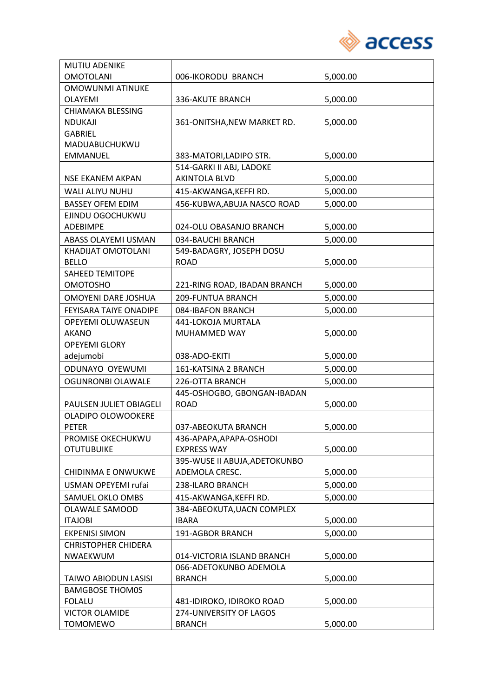

| <b>MUTIU ADENIKE</b>          |                               |          |
|-------------------------------|-------------------------------|----------|
| <b>OMOTOLANI</b>              | 006-IKORODU BRANCH            | 5,000.00 |
| <b>OMOWUNMI ATINUKE</b>       |                               |          |
| <b>OLAYEMI</b>                | 336-AKUTE BRANCH              | 5,000.00 |
| <b>CHIAMAKA BLESSING</b>      |                               |          |
| <b>NDUKAJI</b>                | 361-ONITSHA, NEW MARKET RD.   | 5,000.00 |
| <b>GABRIEL</b>                |                               |          |
| MADUABUCHUKWU                 |                               |          |
| <b>EMMANUEL</b>               | 383-MATORI, LADIPO STR.       | 5,000.00 |
|                               | 514-GARKI II ABJ, LADOKE      |          |
| <b>NSE EKANEM AKPAN</b>       | <b>AKINTOLA BLVD</b>          | 5,000.00 |
| WALI ALIYU NUHU               | 415-AKWANGA, KEFFI RD.        | 5,000.00 |
| <b>BASSEY OFEM EDIM</b>       | 456-KUBWA, ABUJA NASCO ROAD   | 5,000.00 |
| EJINDU OGOCHUKWU              |                               |          |
| <b>ADEBIMPE</b>               | 024-OLU OBASANJO BRANCH       | 5,000.00 |
| ABASS OLAYEMI USMAN           | 034-BAUCHI BRANCH             | 5,000.00 |
| KHADIJAT OMOTOLANI            | 549-BADAGRY, JOSEPH DOSU      |          |
| <b>BELLO</b>                  | <b>ROAD</b>                   | 5,000.00 |
| SAHEED TEMITOPE               |                               |          |
| <b>OMOTOSHO</b>               | 221-RING ROAD, IBADAN BRANCH  | 5,000.00 |
| <b>OMOYENI DARE JOSHUA</b>    | 209-FUNTUA BRANCH             | 5,000.00 |
| <b>FEYISARA TAIYE ONADIPE</b> | 084-IBAFON BRANCH             | 5,000.00 |
| OPEYEMI OLUWASEUN             | 441-LOKOJA MURTALA            |          |
| <b>AKANO</b>                  | MUHAMMED WAY                  | 5,000.00 |
| <b>OPEYEMI GLORY</b>          |                               |          |
| adejumobi                     | 038-ADO-EKITI                 | 5,000.00 |
| ODUNAYO OYEWUMI               | 161-KATSINA 2 BRANCH          | 5,000.00 |
| <b>OGUNRONBI OLAWALE</b>      | 226-OTTA BRANCH               | 5,000.00 |
|                               | 445-OSHOGBO, GBONGAN-IBADAN   |          |
| PAULSEN JULIET OBIAGELI       | <b>ROAD</b>                   | 5,000.00 |
| OLADIPO OLOWOOKERE            |                               |          |
| <b>PETER</b>                  | 037-ABEOKUTA BRANCH           | 5,000.00 |
| PROMISE OKECHUKWU             | 436-APAPA, APAPA-OSHODI       |          |
| <b>OTUTUBUIKE</b>             | <b>EXPRESS WAY</b>            | 5,000.00 |
|                               | 395-WUSE II ABUJA, ADETOKUNBO |          |
| CHIDINMA E ONWUKWE            | ADEMOLA CRESC.                | 5,000.00 |
| USMAN OPEYEMI rufai           | 238-ILARO BRANCH              | 5,000.00 |
| SAMUEL OKLO OMBS              | 415-AKWANGA, KEFFI RD.        | 5,000.00 |
| OLAWALE SAMOOD                | 384-ABEOKUTA, UACN COMPLEX    |          |
| <b>ITAJOBI</b>                | <b>IBARA</b>                  | 5,000.00 |
| <b>EKPENISI SIMON</b>         | 191-AGBOR BRANCH              | 5,000.00 |
| <b>CHRISTOPHER CHIDERA</b>    |                               |          |
| NWAEKWUM                      | 014-VICTORIA ISLAND BRANCH    | 5,000.00 |
|                               | 066-ADETOKUNBO ADEMOLA        |          |
| TAIWO ABIODUN LASISI          | <b>BRANCH</b>                 | 5,000.00 |
| <b>BAMGBOSE THOM0S</b>        |                               |          |
| <b>FOLALU</b>                 | 481-IDIROKO, IDIROKO ROAD     | 5,000.00 |
| <b>VICTOR OLAMIDE</b>         | 274-UNIVERSITY OF LAGOS       |          |
| <b>TOMOMEWO</b>               | <b>BRANCH</b>                 | 5,000.00 |